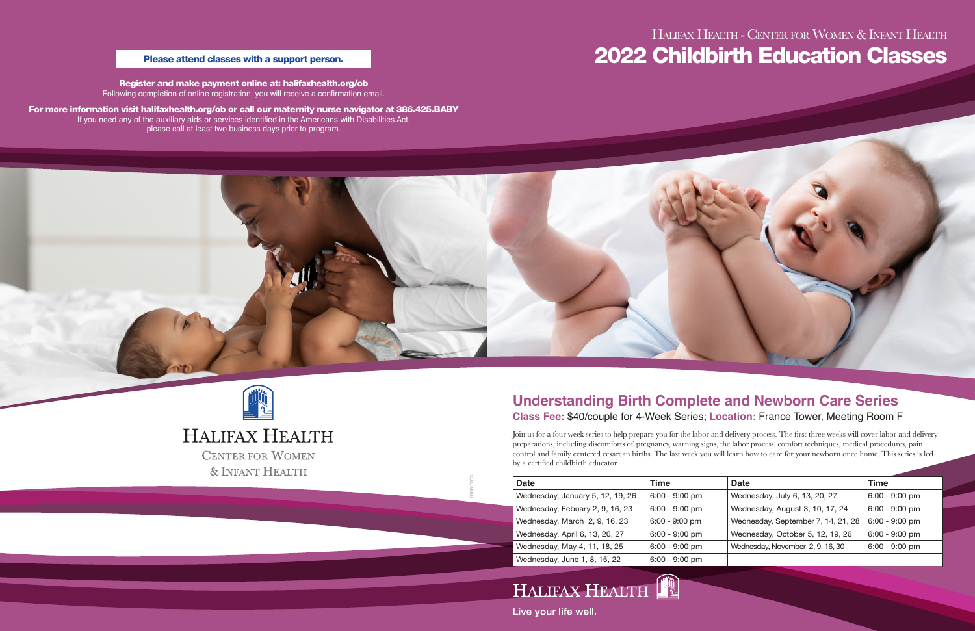0108-0053



# HALIFAX HEALTH **CENTER FOR WOMEN**

& INFANT HEALTH

## **Understanding Birth Complete and Newborn Care Series Class Fee:** \$40/couple for 4-Week Series; **Location:** France Tower, Meeting Room F

Join us for a four week series to help prepare you for the labor and delivery process. The first three weeks will cover labor and delivery preparations, including discomforts of pregnancy, warning signs, the labor process, comfort techniques, medical procedures, pain control and family centered cesarean births. The last week you will learn how to care for your newborn once home. This series is led by a certified childbirth educator.

# Halifax Health - Center for Women & Infant Health Please attend classes with a support person. The contract of the contract of the contract of the contract of the contract of the contract of the contract of the contract of the contract of the contract of the contract of t

| <b>Date</b>                      | Time             | <b>Date</b>                        | <b>Time</b>      |
|----------------------------------|------------------|------------------------------------|------------------|
| Wednesday, January 5, 12, 19, 26 | $6:00 - 9:00$ pm | Wednesday, July 6, 13, 20, 27      | $6:00 - 9:00$ pm |
| Wednesday, Febuary 2, 9, 16, 23  | $6:00 - 9:00$ pm | Wednesday, August 3, 10, 17, 24    | $6:00 - 9:00$ pm |
| Wednesday, March 2, 9, 16, 23    | $6:00 - 9:00$ pm | Wednesday, September 7, 14, 21, 28 | $6:00 - 9:00$ pm |
| Wednesday, April 6, 13, 20, 27   | $6:00 - 9:00$ pm | Wednesday, October 5, 12, 19, 26   | $6:00 - 9:00$ pm |
| Wednesday, May 4, 11, 18, 25     | $6:00 - 9:00$ pm | Wednesday, November 2, 9, 16, 30   | $6:00 - 9:00$ pm |
| Wednesday, June 1, 8, 15, 22     | $6:00 - 9:00$ pm |                                    |                  |
|                                  |                  |                                    |                  |

HALIFAX HEALTH

Live your life well.

Register and make payment online at: halifaxhealth.org/ob Following completion of online registration, you will receive a confirmation email.

For more information visit halifaxhealth.org/ob or call our maternity nurse navigator at 386.425.BABY If you need any of the auxiliary aids or services identified in the Americans with Disabilities Act, please call at least two business days prior to program.